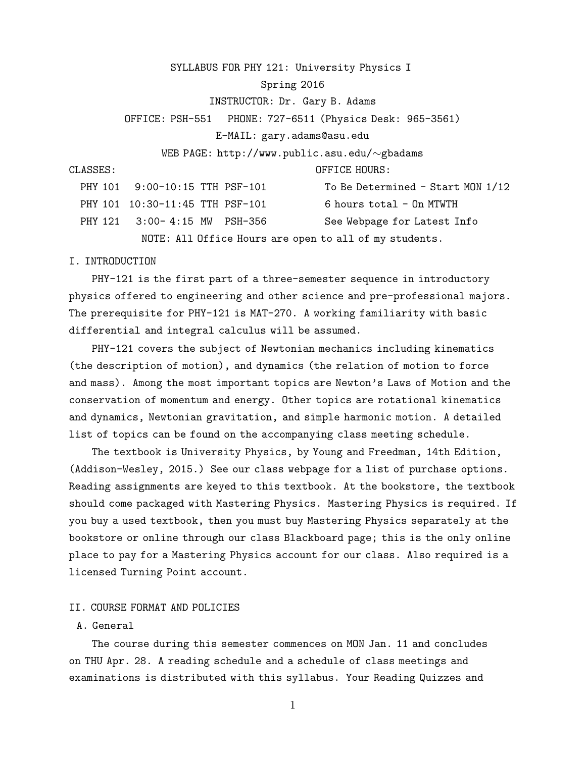SYLLABUS FOR PHY 121: University Physics I

## Spring 2016

#### INSTRUCTOR: Dr. Gary B. Adams

OFFICE: PSH-551 PHONE: 727-6511 (Physics Desk: 965-3561)

E-MAIL: gary.adams@asu.edu

WEB PAGE: http://www.public.asu.edu/∼gbadams

CLASSES: OFFICE HOURS:

| PHY 101 9:00-10:15 TTH PSF-101  | To Be Determined - Start MON 1/12                      |
|---------------------------------|--------------------------------------------------------|
| PHY 101 10:30-11:45 TTH PSF-101 | 6 hours total - On MTWTH                               |
| PHY 121 3:00-4:15 MW PSH-356    | See Webpage for Latest Info                            |
|                                 | NOTE: All Office Hours are open to all of my students. |

#### I. INTRODUCTION

PHY-121 is the first part of a three-semester sequence in introductory physics offered to engineering and other science and pre-professional majors. The prerequisite for PHY-121 is MAT-270. A working familiarity with basic differential and integral calculus will be assumed.

PHY-121 covers the subject of Newtonian mechanics including kinematics (the description of motion), and dynamics (the relation of motion to force and mass). Among the most important topics are Newton's Laws of Motion and the conservation of momentum and energy. Other topics are rotational kinematics and dynamics, Newtonian gravitation, and simple harmonic motion. A detailed list of topics can be found on the accompanying class meeting schedule.

The textbook is University Physics, by Young and Freedman, 14th Edition, (Addison-Wesley, 2015.) See our class webpage for a list of purchase options. Reading assignments are keyed to this textbook. At the bookstore, the textbook should come packaged with Mastering Physics. Mastering Physics is required. If you buy a used textbook, then you must buy Mastering Physics separately at the bookstore or online through our class Blackboard page; this is the only online place to pay for a Mastering Physics account for our class. Also required is a licensed Turning Point account.

## II. COURSE FORMAT AND POLICIES

# A. General

The course during this semester commences on MON Jan. 11 and concludes on THU Apr. 28. A reading schedule and a schedule of class meetings and examinations is distributed with this syllabus. Your Reading Quizzes and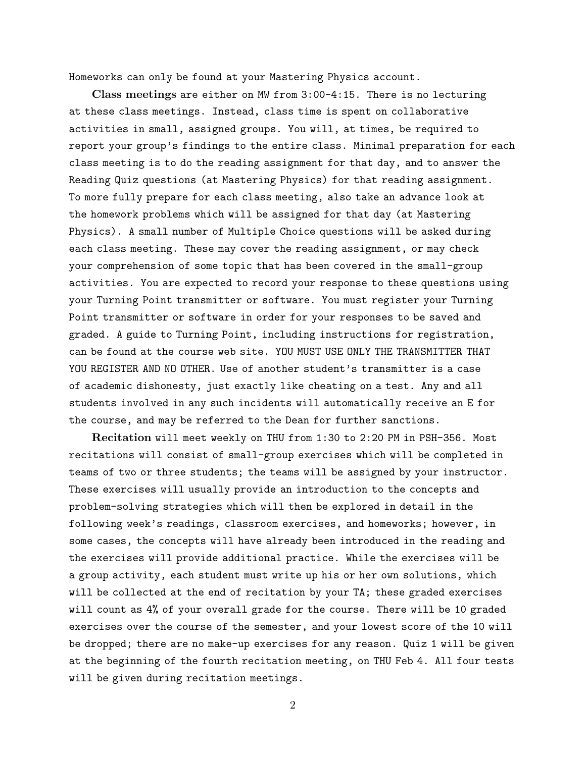Homeworks can only be found at your Mastering Physics account.

Class meetings are either on MW from 3:00-4:15. There is no lecturing at these class meetings. Instead, class time is spent on collaborative activities in small, assigned groups. You will, at times, be required to report your group's findings to the entire class. Minimal preparation for each class meeting is to do the reading assignment for that day, and to answer the Reading Quiz questions (at Mastering Physics) for that reading assignment. To more fully prepare for each class meeting, also take an advance look at the homework problems which will be assigned for that day (at Mastering Physics). A small number of Multiple Choice questions will be asked during each class meeting. These may cover the reading assignment, or may check your comprehension of some topic that has been covered in the small-group activities. You are expected to record your response to these questions using your Turning Point transmitter or software. You must register your Turning Point transmitter or software in order for your responses to be saved and graded. A guide to Turning Point, including instructions for registration, can be found at the course web site. YOU MUST USE ONLY THE TRANSMITTER THAT YOU REGISTER AND NO OTHER. Use of another student's transmitter is a case of academic dishonesty, just exactly like cheating on a test. Any and all students involved in any such incidents will automatically receive an E for the course, and may be referred to the Dean for further sanctions.

Recitation will meet weekly on THU from 1:30 to 2:20 PM in PSH-356. Most recitations will consist of small-group exercises which will be completed in teams of two or three students; the teams will be assigned by your instructor. These exercises will usually provide an introduction to the concepts and problem-solving strategies which will then be explored in detail in the following week's readings, classroom exercises, and homeworks; however, in some cases, the concepts will have already been introduced in the reading and the exercises will provide additional practice. While the exercises will be a group activity, each student must write up his or her own solutions, which will be collected at the end of recitation by your TA; these graded exercises will count as 4% of your overall grade for the course. There will be 10 graded exercises over the course of the semester, and your lowest score of the 10 will be dropped; there are no make-up exercises for any reason. Quiz 1 will be given at the beginning of the fourth recitation meeting, on THU Feb 4. All four tests will be given during recitation meetings.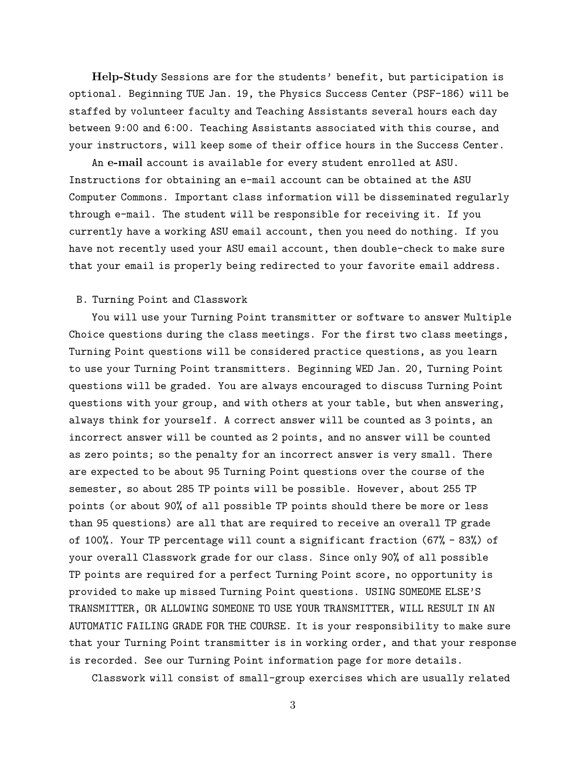Help-Study Sessions are for the students' benefit, but participation is optional. Beginning TUE Jan. 19, the Physics Success Center (PSF-186) will be staffed by volunteer faculty and Teaching Assistants several hours each day between 9:00 and 6:00. Teaching Assistants associated with this course, and your instructors, will keep some of their office hours in the Success Center.

An e-mail account is available for every student enrolled at ASU. Instructions for obtaining an e-mail account can be obtained at the ASU Computer Commons. Important class information will be disseminated regularly through e-mail. The student will be responsible for receiving it. If you currently have a working ASU email account, then you need do nothing. If you have not recently used your ASU email account, then double-check to make sure that your email is properly being redirected to your favorite email address.

## B. Turning Point and Classwork

You will use your Turning Point transmitter or software to answer Multiple Choice questions during the class meetings. For the first two class meetings, Turning Point questions will be considered practice questions, as you learn to use your Turning Point transmitters. Beginning WED Jan. 20, Turning Point questions will be graded. You are always encouraged to discuss Turning Point questions with your group, and with others at your table, but when answering, always think for yourself. A correct answer will be counted as 3 points, an incorrect answer will be counted as 2 points, and no answer will be counted as zero points; so the penalty for an incorrect answer is very small. There are expected to be about 95 Turning Point questions over the course of the semester, so about 285 TP points will be possible. However, about 255 TP points (or about 90% of all possible TP points should there be more or less than 95 questions) are all that are required to receive an overall TP grade of 100%. Your TP percentage will count a significant fraction (67% - 83%) of your overall Classwork grade for our class. Since only 90% of all possible TP points are required for a perfect Turning Point score, no opportunity is provided to make up missed Turning Point questions. USING SOMEOME ELSE'S TRANSMITTER, OR ALLOWING SOMEONE TO USE YOUR TRANSMITTER, WILL RESULT IN AN AUTOMATIC FAILING GRADE FOR THE COURSE. It is your responsibility to make sure that your Turning Point transmitter is in working order, and that your response is recorded. See our Turning Point information page for more details.

Classwork will consist of small-group exercises which are usually related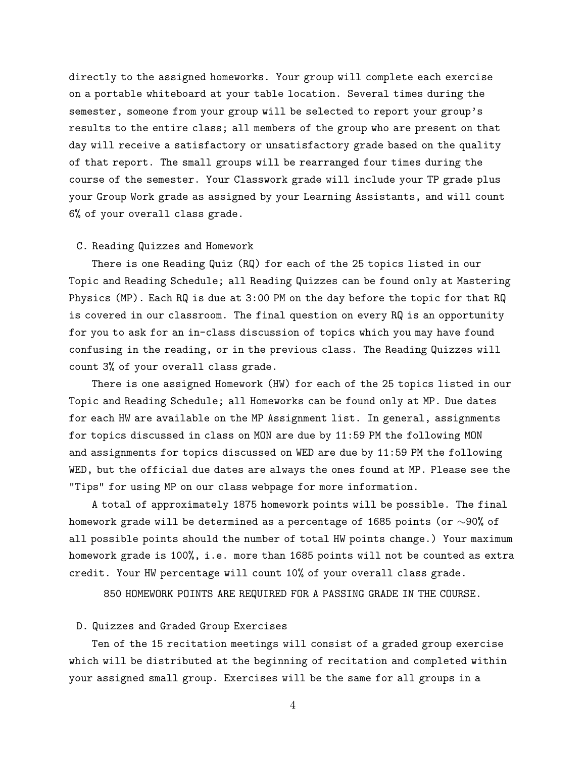directly to the assigned homeworks. Your group will complete each exercise on a portable whiteboard at your table location. Several times during the semester, someone from your group will be selected to report your group's results to the entire class; all members of the group who are present on that day will receive a satisfactory or unsatisfactory grade based on the quality of that report. The small groups will be rearranged four times during the course of the semester. Your Classwork grade will include your TP grade plus your Group Work grade as assigned by your Learning Assistants, and will count 6% of your overall class grade.

## C. Reading Quizzes and Homework

There is one Reading Quiz (RQ) for each of the 25 topics listed in our Topic and Reading Schedule; all Reading Quizzes can be found only at Mastering Physics (MP). Each RQ is due at 3:00 PM on the day before the topic for that RQ is covered in our classroom. The final question on every RQ is an opportunity for you to ask for an in-class discussion of topics which you may have found confusing in the reading, or in the previous class. The Reading Quizzes will count 3% of your overall class grade.

There is one assigned Homework (HW) for each of the 25 topics listed in our Topic and Reading Schedule; all Homeworks can be found only at MP. Due dates for each HW are available on the MP Assignment list. In general, assignments for topics discussed in class on MON are due by 11:59 PM the following MON and assignments for topics discussed on WED are due by 11:59 PM the following WED, but the official due dates are always the ones found at MP. Please see the "Tips" for using MP on our class webpage for more information.

A total of approximately 1875 homework points will be possible. The final homework grade will be determined as a percentage of 1685 points (or ∼90% of all possible points should the number of total HW points change.) Your maximum homework grade is 100%, i.e. more than 1685 points will not be counted as extra credit. Your HW percentage will count 10% of your overall class grade.

850 HOMEWORK POINTS ARE REQUIRED FOR A PASSING GRADE IN THE COURSE.

## D. Quizzes and Graded Group Exercises

Ten of the 15 recitation meetings will consist of a graded group exercise which will be distributed at the beginning of recitation and completed within your assigned small group. Exercises will be the same for all groups in a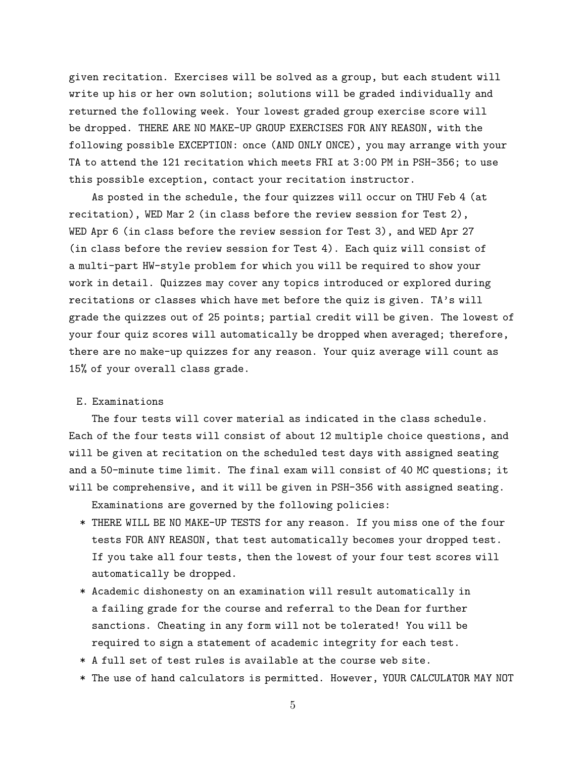given recitation. Exercises will be solved as a group, but each student will write up his or her own solution; solutions will be graded individually and returned the following week. Your lowest graded group exercise score will be dropped. THERE ARE NO MAKE-UP GROUP EXERCISES FOR ANY REASON, with the following possible EXCEPTION: once (AND ONLY ONCE), you may arrange with your TA to attend the 121 recitation which meets FRI at 3:00 PM in PSH-356; to use this possible exception, contact your recitation instructor.

As posted in the schedule, the four quizzes will occur on THU Feb 4 (at recitation), WED Mar 2 (in class before the review session for Test 2), WED Apr 6 (in class before the review session for Test 3), and WED Apr 27 (in class before the review session for Test 4). Each quiz will consist of a multi-part HW-style problem for which you will be required to show your work in detail. Quizzes may cover any topics introduced or explored during recitations or classes which have met before the quiz is given. TA's will grade the quizzes out of 25 points; partial credit will be given. The lowest of your four quiz scores will automatically be dropped when averaged; therefore, there are no make-up quizzes for any reason. Your quiz average will count as 15% of your overall class grade.

## E. Examinations

The four tests will cover material as indicated in the class schedule. Each of the four tests will consist of about 12 multiple choice questions, and will be given at recitation on the scheduled test days with assigned seating and a 50-minute time limit. The final exam will consist of 40 MC questions; it will be comprehensive, and it will be given in PSH-356 with assigned seating.

- Examinations are governed by the following policies:
- \* THERE WILL BE NO MAKE-UP TESTS for any reason. If you miss one of the four tests FOR ANY REASON, that test automatically becomes your dropped test. If you take all four tests, then the lowest of your four test scores will automatically be dropped.
- \* Academic dishonesty on an examination will result automatically in a failing grade for the course and referral to the Dean for further sanctions. Cheating in any form will not be tolerated! You will be required to sign a statement of academic integrity for each test.
- \* A full set of test rules is available at the course web site.
- \* The use of hand calculators is permitted. However, YOUR CALCULATOR MAY NOT